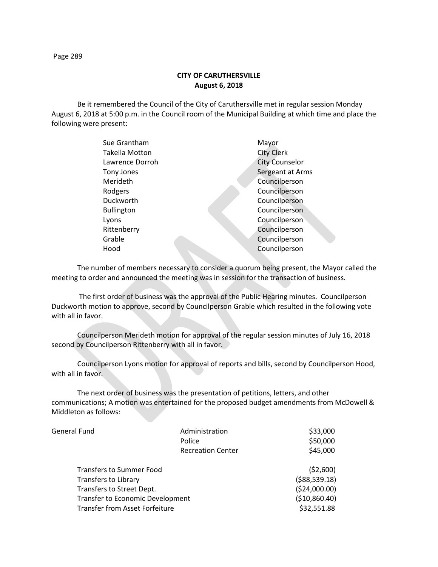Page 289

## **CITY OF CARUTHERSVILLE August 6, 2018**

Be it remembered the Council of the City of Caruthersville met in regular session Monday August 6, 2018 at 5:00 p.m. in the Council room of the Municipal Building at which time and place the following were present:

| Sue Grantham          | Mayor                 |
|-----------------------|-----------------------|
| <b>Takella Motton</b> | <b>City Clerk</b>     |
| Lawrence Dorroh       | <b>City Counselor</b> |
| Tony Jones            | Sergeant at Arms      |
| Merideth              | Councilperson         |
| Rodgers               | Councilperson         |
| Duckworth             | Councilperson         |
| <b>Bullington</b>     | Councilperson         |
| Lyons                 | Councilperson         |
| Rittenberry           | Councilperson         |
| Grable                | Councilperson         |
| Hood                  | Councilperson         |
|                       |                       |

The number of members necessary to consider a quorum being present, the Mayor called the meeting to order and announced the meeting was in session for the transaction of business.

The first order of business was the approval of the Public Hearing minutes. Councilperson Duckworth motion to approve, second by Councilperson Grable which resulted in the following vote with all in favor.

Councilperson Merideth motion for approval of the regular session minutes of July 16, 2018 second by Councilperson Rittenberry with all in favor.

Councilperson Lyons motion for approval of reports and bills, second by Councilperson Hood, with all in favor.

The next order of business was the presentation of petitions, letters, and other communications; A motion was entertained for the proposed budget amendments from McDowell & Middleton as follows:

| Administration                          | \$33,000       |
|-----------------------------------------|----------------|
| Police                                  | \$50,000       |
| <b>Recreation Center</b>                | \$45,000       |
|                                         | (52,600)       |
|                                         | ( \$88,539.18) |
|                                         | (\$24,000.00)  |
| <b>Transfer to Economic Development</b> | (\$10,860.40)  |
| <b>Transfer from Asset Forfeiture</b>   | \$32,551.88    |
|                                         |                |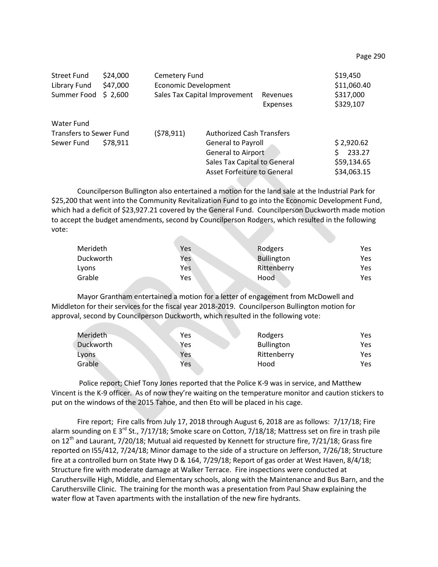Page 290

| <b>Street Fund</b><br>Library Fund<br>Summer Food | \$24,000<br>\$47,000<br>\$2,600 | Cemetery Fund<br><b>Economic Development</b> | Sales Tax Capital Improvement      | Revenues<br>Expenses | \$19,450<br>\$11,060.40<br>\$317,000<br>\$329,107 |
|---------------------------------------------------|---------------------------------|----------------------------------------------|------------------------------------|----------------------|---------------------------------------------------|
| Water Fund                                        |                                 |                                              |                                    |                      |                                                   |
| <b>Transfers to Sewer Fund</b>                    |                                 | (578, 911)                                   | <b>Authorized Cash Transfers</b>   |                      |                                                   |
| Sewer Fund                                        | \$78,911                        |                                              | General to Payroll                 |                      | \$2,920.62                                        |
|                                                   |                                 |                                              | <b>General to Airport</b>          |                      | 233.27<br>Ś.                                      |
|                                                   |                                 |                                              | Sales Tax Capital to General       |                      | \$59,134.65                                       |
|                                                   |                                 |                                              | <b>Asset Forfeiture to General</b> |                      | \$34,063.15                                       |

Councilperson Bullington also entertained a motion for the land sale at the Industrial Park for \$25,200 that went into the Community Revitalization Fund to go into the Economic Development Fund, which had a deficit of \$23,927.21 covered by the General Fund. Councilperson Duckworth made motion to accept the budget amendments, second by Councilperson Rodgers, which resulted in the following vote:

| Merideth  | Yes | Rodgers     | Yes  |
|-----------|-----|-------------|------|
| Duckworth | Yes | Bullington  | Yes. |
| Lyons     | Yes | Rittenberry | Yes  |
| Grable    | Yes | Hood        | Yes  |

Mayor Grantham entertained a motion for a letter of engagement from McDowell and Middleton for their services for the fiscal year 2018-2019. Councilperson Bullington motion for approval, second by Councilperson Duckworth, which resulted in the following vote:

| Merideth  | Yes | Rodgers           | Yes |
|-----------|-----|-------------------|-----|
| Duckworth | Yes | <b>Bullington</b> | Yes |
| Lyons     | Yes | Rittenberry       | Yes |
| Grable    | Yes | Hood              | Yes |

Police report; Chief Tony Jones reported that the Police K-9 was in service, and Matthew Vincent is the K-9 officer. As of now they're waiting on the temperature monitor and caution stickers to put on the windows of the 2015 Tahoe, and then Eto will be placed in his cage.

Fire report; Fire calls from July 17, 2018 through August 6, 2018 are as follows: 7/17/18; Fire alarm sounding on E 3<sup>rd</sup> St., 7/17/18; Smoke scare on Cotton, 7/18/18; Mattress set on fire in trash pile on 12<sup>th</sup> and Laurant, 7/20/18; Mutual aid requested by Kennett for structure fire, 7/21/18; Grass fire reported on I55/412, 7/24/18; Minor damage to the side of a structure on Jefferson, 7/26/18; Structure fire at a controlled burn on State Hwy D & 164, 7/29/18; Report of gas order at West Haven, 8/4/18; Structure fire with moderate damage at Walker Terrace. Fire inspections were conducted at Caruthersville High, Middle, and Elementary schools, along with the Maintenance and Bus Barn, and the Caruthersville Clinic. The training for the month was a presentation from Paul Shaw explaining the water flow at Taven apartments with the installation of the new fire hydrants.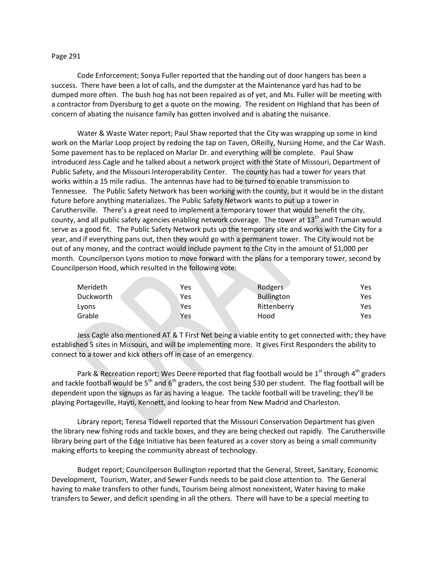## Page 291

Code Enforcement; Sonya Fuller reported that the handing out of door hangers has been a success. There have been a lot of calls, and the dumpster at the Maintenance yard has had to be dumped more often. The bush hog has not been repaired as of yet, and Ms. Fuller will be meeting with a contractor from Dyersburg to get a quote on the mowing. The resident on Highland that has been of concern of abating the nuisance family has gotten involved and is abating the nuisance.

Water & Waste Water report; Paul Shaw reported that the City was wrapping up some in kind work on the Marlar Loop project by redoing the tap on Taven, OReilly, Nursing Home, and the Car Wash. Some pavement has to be replaced on Marlar Dr. and everything will be complete. Paul Shaw introduced Jess Cagle and he talked about a network project with the State of Missouri, Department of Public Safety, and the Missouri Interoperability Center. The county has had a tower for years that works within a 15 mile radius. The antennas have had to be turned to enable transmission to Tennessee. The Public Safety Network has been working with the county, but it would be in the distant future before anything materializes. The Public Safety Network wants to put up a tower in Caruthersville. There's a great need to implement a temporary tower that would benefit the city, county, and all public safety agencies enabling network coverage. The tower at  $13<sup>th</sup>$  and Truman would serve as a good fit. The Public Safety Network puts up the temporary site and works with the City for a year, and if everything pans out, then they would go with a permanent tower. The City would not be out of any money, and the contract would include payment to the City in the amount of \$1,000 per month. Councilperson Lyons motion to move forward with the plans for a temporary tower, second by Councilperson Hood, which resulted in the following vote:

| Merideth  | Yes | Rodgers           | Yes |
|-----------|-----|-------------------|-----|
| Duckworth | Yes | <b>Bullington</b> | Yes |
| Lyons     | Yes | Rittenberry       | Yes |
| Grable    | Yes | Hood              | Yes |

Jess Cagle also mentioned AT & T First Net being a viable entity to get connected with; they have established 5 sites in Missouri, and will be implementing more. It gives First Responders the ability to connect to a tower and kick others off in case of an emergency.

Park & Recreation report; Wes Deere reported that flag football would be  $1<sup>st</sup>$  through 4<sup>th</sup> graders and tackle football would be  $5<sup>th</sup>$  and  $6<sup>th</sup>$  graders, the cost being \$30 per student. The flag football will be dependent upon the signups as far as having a league. The tackle football will be traveling; they'll be playing Portageville, Hayti, Kennett, and looking to hear from New Madrid and Charleston.

Library report; Teresa Tidwell reported that the Missouri Conservation Department has given the library new fishing rods and tackle boxes, and they are being checked out rapidly. The Caruthersville library being part of the Edge Initiative has been featured as a cover story as being a small community making efforts to keeping the community abreast of technology.

Budget report; Councilperson Bullington reported that the General, Street, Sanitary, Economic Development, Tourism, Water, and Sewer Funds needs to be paid close attention to. The General having to make transfers to other funds, Tourism being almost nonexistent, Water having to make transfers to Sewer, and deficit spending in all the others. There will have to be a special meeting to